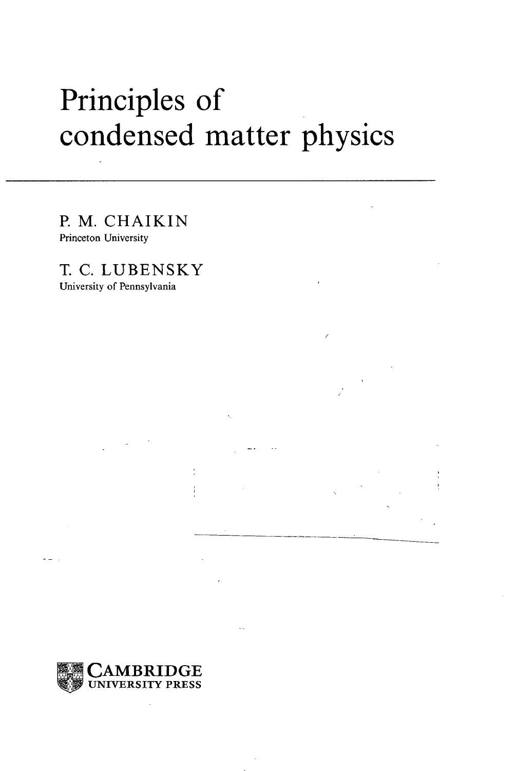## Principles of condensed matter physics

P. M. CHAIKIN Princeton University

T. C. LUBENSKY University of Pennsylvania

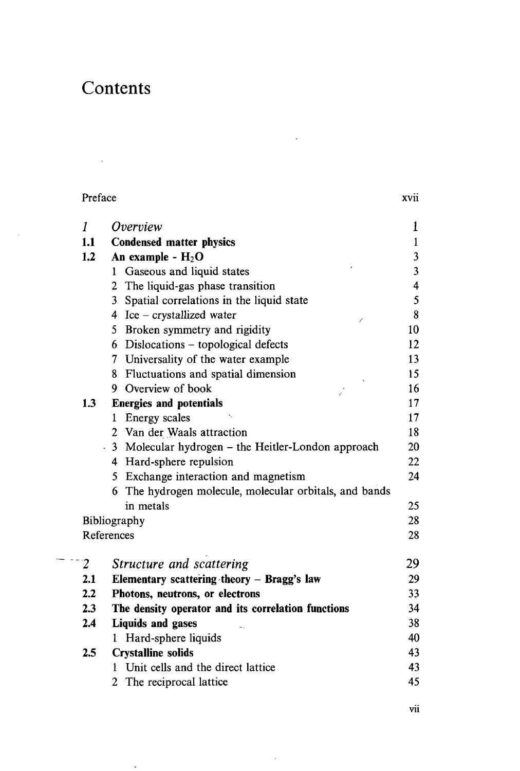## Contents

 $\bar{\bar{z}}$ 

| Preface        |                                                        | <b>XV11</b>             |
|----------------|--------------------------------------------------------|-------------------------|
| 1              | Overniew                                               | 1                       |
| 1.1            | <b>Condensed matter physics</b>                        | $\mathbf{1}$            |
| 1.2            | An example - $H_2O$                                    | $\overline{\mathbf{3}}$ |
|                | 1 Gaseous and liquid states                            | $\overline{\mathbf{3}}$ |
|                | 2 The liquid-gas phase transition                      | $\overline{\mathbf{4}}$ |
|                | 3 Spatial correlations in the liquid state             | 5                       |
|                | 4 Ice – crystallized water<br>7                        | 8                       |
|                | 5 Broken symmetry and rigidity                         | 10                      |
|                | 6 Dislocations - topological defects                   | 12                      |
|                | 7 Universality of the water example                    | 13                      |
|                | 8 Fluctuations and spatial dimension                   | 15                      |
|                | 9 Overview of book                                     | 16                      |
| 1.3            | <b>Energies and potentials</b>                         | 17                      |
|                | 1 Energy scales                                        | 17                      |
|                | 2 Van der Waals attraction                             | 18                      |
|                | 3 Molecular hydrogen – the Heitler-London approach     | 20                      |
|                | 4 Hard-sphere repulsion                                | 22                      |
|                | 5 Exchange interaction and magnetism                   | 24                      |
|                | 6 The hydrogen molecule, molecular orbitals, and bands |                         |
|                | in metals                                              | 25                      |
|                | Bibliography                                           | 28                      |
|                | References                                             | 28                      |
| $\overline{2}$ | Structure and scattering                               | 29                      |
| 2.1            | Elementary scattering theory - Bragg's law             | 29                      |
| 2.2            | Photons, neutrons, or electrons                        | 33                      |
| 2.3            | The density operator and its correlation functions     | 34                      |
| 2.4            | <b>Liquids and gases</b>                               | 38                      |
|                | 1 Hard-sphere liquids                                  | 40                      |
| 2.5            | <b>Crystalline solids</b>                              | 43                      |
|                | Unit cells and the direct lattice<br>1.                | 43                      |
|                | $\overline{2}$<br>The reciprocal lattice               | 45                      |
|                |                                                        |                         |

 $\ddot{\phantom{a}}$ 

 $\overline{\phantom{a}}$ 

 $\bar{\bar{z}}$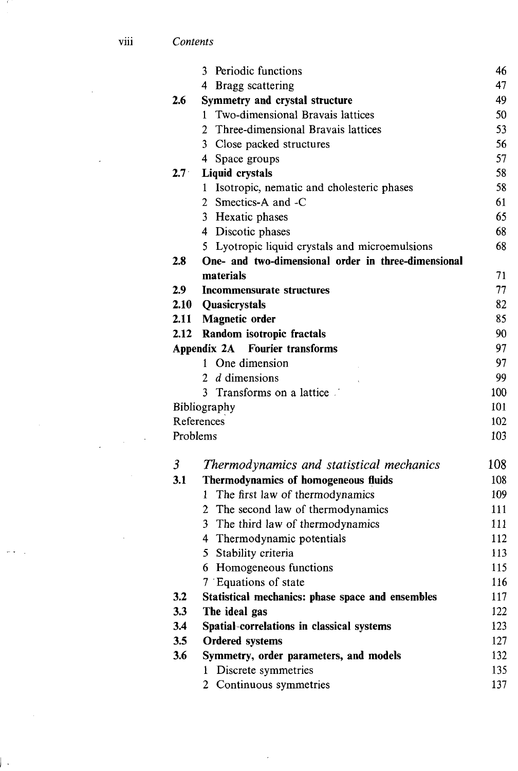## viii *Contents*

|                                       | 3<br>Periodic functions                             | 46  |
|---------------------------------------|-----------------------------------------------------|-----|
|                                       | 4 Bragg scattering                                  | 47  |
| 2.6                                   | Symmetry and crystal structure                      | 49  |
|                                       | Two-dimensional Bravais lattices<br>1.              | 50  |
|                                       | Three-dimensional Bravais lattices<br>2             | 53  |
|                                       | 3 Close packed structures                           | 56  |
|                                       | 4 Space groups                                      | 57  |
| $2.7^{\circ}$                         | <b>Liquid crystals</b>                              | 58  |
|                                       | 1 Isotropic, nematic and cholesteric phases         | 58  |
|                                       | 2 Smectics-A and -C                                 | 61  |
|                                       | 3 Hexatic phases                                    | 65  |
|                                       | 4 Discotic phases                                   | 68  |
|                                       | 5 Lyotropic liquid crystals and microemulsions      | 68  |
| 2.8                                   | One- and two-dimensional order in three-dimensional |     |
|                                       | materials                                           | 71  |
| 2.9                                   | Incommensurate structures                           | 77  |
|                                       | 2.10 Quasicrystals                                  | 82  |
|                                       | 2.11 Magnetic order                                 | 85  |
| 2.12                                  | Random isotropic fractals                           | 90  |
| <b>Appendix 2A</b> Fourier transforms |                                                     | 97  |
|                                       | 1 One dimension                                     | 97  |
|                                       | 2 <i>d</i> dimensions                               | 99  |
|                                       | Transforms on a lattice<br>3.                       | 100 |
|                                       | Bibliography                                        | 101 |
|                                       | References                                          | 102 |
| Problems                              |                                                     | 103 |
| $\mathfrak{Z}$                        | Thermodynamics and statistical mechanics            | 108 |
| 3.1                                   | Thermodynamics of homogeneous fluids                | 108 |
|                                       | The first law of thermodynamics<br>$\mathbf{1}$     | 109 |
|                                       | 2 The second law of thermodynamics                  | 111 |
|                                       | 3 The third law of thermodynamics                   | 111 |
|                                       | 4 Thermodynamic potentials                          | 112 |
|                                       | 5 Stability criteria                                | 113 |
|                                       | 6 Homogeneous functions                             | 115 |
|                                       | 7 Equations of state                                | 116 |
| 3.2                                   | Statistical mechanics: phase space and ensembles    | 117 |
| 3.3                                   | The ideal gas                                       | 122 |
| 3.4                                   | Spatial-correlations in classical systems           | 123 |
| 3.5                                   | <b>Ordered systems</b>                              | 127 |
| 3.6                                   | Symmetry, order parameters, and models              | 132 |
|                                       | Discrete symmetries<br>1                            | 135 |
|                                       | Continuous symmetries<br>$\overline{2}$             | 137 |
|                                       |                                                     |     |

 $\epsilon$ 

 $\bar{\mathcal{A}}$ 

 $\overline{\phantom{a}}$ 

 $\frac{1}{2}$  ,  $\frac{1}{2}$  ,  $\frac{1}{2}$ 

 $\bar{\beta}$ 

 $\omega \neq 0$ 

 $\overline{a}$ 

- 1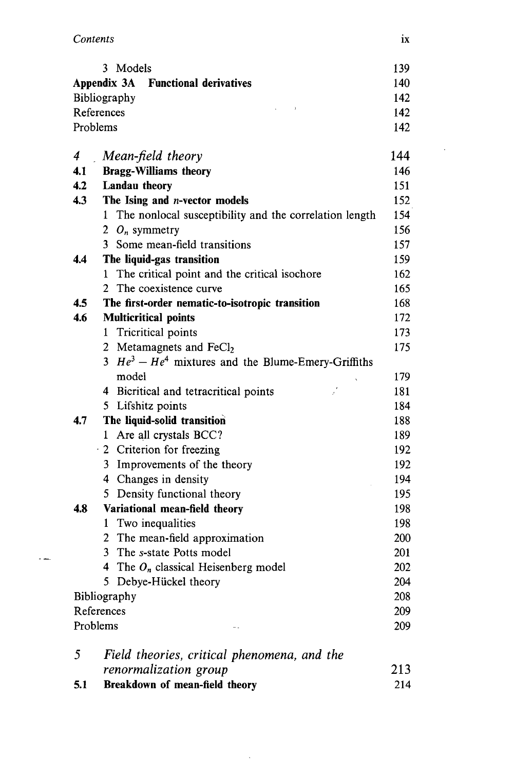| Contents | 1X |
|----------|----|
|          |    |

 $\sim$   $\sim$ 

|                                           | 3 Models                                                 | 139<br>140 |
|-------------------------------------------|----------------------------------------------------------|------------|
| <b>Appendix 3A</b> Functional derivatives |                                                          |            |
|                                           | Bibliography                                             | 142        |
|                                           | References                                               | 142        |
|                                           | Problems                                                 | 142        |
| 4                                         | Mean-field theory                                        | 144        |
| 4.1                                       | <b>Bragg-Williams theory</b>                             | 146        |
| 4.2                                       | Landau theory                                            | 151        |
| 4.3                                       | The Ising and <i>n</i> -vector models                    | 152        |
|                                           | 1 The nonlocal susceptibility and the correlation length | 154        |
|                                           | 2 $O_n$ symmetry                                         | 156        |
|                                           | 3 Some mean-field transitions                            | 157        |
| 4.4                                       | The liquid-gas transition                                | 159        |
|                                           | The critical point and the critical isochore<br>1        | 162        |
|                                           | $\overline{2}$<br>The coexistence curve                  | 165        |
| 4.5                                       | The first-order nematic-to-isotropic transition          | 168        |
| 4.6                                       | <b>Multicritical points</b>                              | 172        |
|                                           | 1 Tricritical points                                     | 173        |
|                                           | 2 Metamagnets and FeCl <sub>2</sub>                      | 175        |
|                                           | 3 $He^3 - He^4$ mixtures and the Blume-Emery-Griffiths   |            |
|                                           | model                                                    | 179        |
|                                           | 4 Bicritical and tetracritical points                    | 181        |
|                                           | 5 Lifshitz points                                        | 184        |
| 4.7                                       | The liquid-solid transition                              | 188        |
|                                           | Are all crystals BCC?<br>1                               | 189        |
|                                           | 2 Criterion for freezing                                 | 192        |
|                                           | 3 Improvements of the theory                             | 192        |
|                                           | 4 Changes in density                                     | 194        |
|                                           | 5 Density functional theory                              | 195        |
| 4.8                                       | Variational mean-field theory                            | 198        |
|                                           | 1 Two inequalities                                       | 198        |
|                                           | 2 The mean-field approximation                           | 200        |
|                                           | 3 The s-state Potts model                                | 201        |
|                                           | 4 The $O_n$ classical Heisenberg model                   | 202        |
|                                           | 5 Debye-Hückel theory                                    | 204        |
|                                           | Bibliography                                             | 208        |
| References                                |                                                          | 209        |
|                                           | Problems                                                 | 209        |
| 5                                         | Field theories, critical phenomena, and the              |            |
|                                           | renormalization group                                    | 213        |
| 5.1                                       | Breakdown of mean-field theory                           | 214        |

 $\sim$   $\sim$ 

 $\bar{\mathcal{A}}$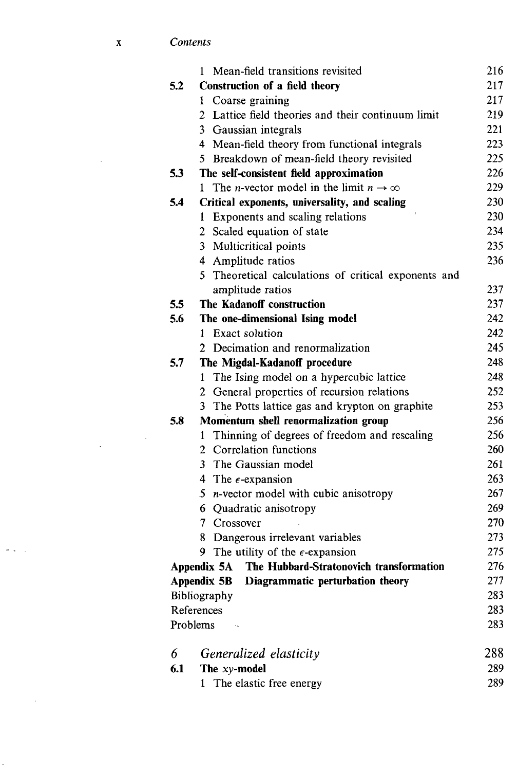|     | 1 Mean-field transitions revisited                           | 216 |
|-----|--------------------------------------------------------------|-----|
| 5.2 | Construction of a field theory                               | 217 |
|     | Coarse graining<br>1                                         | 217 |
|     | 2 Lattice field theories and their continuum limit           | 219 |
|     | 3 Gaussian integrals                                         | 221 |
|     | 4 Mean-field theory from functional integrals                | 223 |
|     | Breakdown of mean-field theory revisited<br>5.               | 225 |
| 5.3 | The self-consistent field approximation                      | 226 |
|     | The <i>n</i> -vector model in the limit $n \to \infty$<br>1. | 229 |
| 5.4 | Critical exponents, universality, and scaling                | 230 |
|     | Exponents and scaling relations<br>1                         | 230 |
|     | Scaled equation of state<br>$\mathbf{2}^{\prime}$            | 234 |
|     | Multicritical points<br>3                                    | 235 |
|     | Amplitude ratios<br>4                                        | 236 |
|     | Theoretical calculations of critical exponents and<br>5.     |     |
|     | amplitude ratios                                             | 237 |
| 5.5 | The Kadanoff construction                                    | 237 |
| 5.6 | The one-dimensional Ising model                              | 242 |
|     | 1 Exact solution                                             | 242 |
|     | 2 Decimation and renormalization                             | 245 |
| 5.7 | The Migdal-Kadanoff procedure                                | 248 |
|     | The Ising model on a hypercubic lattice<br>1                 | 248 |
|     | General properties of recursion relations<br>$\overline{2}$  | 252 |
|     | The Potts lattice gas and krypton on graphite<br>3           | 253 |
| 5.8 | Momentum shell renormalization group                         | 256 |
|     | Thinning of degrees of freedom and rescaling<br>1            | 256 |
|     | Correlation functions<br>$\overline{2}$                      | 260 |
|     | The Gaussian model<br>3                                      | 261 |
|     | 4 The $\epsilon$ -expansion                                  | 263 |
|     | 5.<br><i>n</i> -vector model with cubic anisotropy           | 267 |
|     | 6 Quadratic anisotropy                                       | 269 |
|     | 7 Crossover                                                  | 270 |
|     | Dangerous irrelevant variables<br>8                          | 273 |
|     | The utility of the $\epsilon$ -expansion<br>9.               | 275 |
|     | Appendix 5A The Hubbard-Stratonovich transformation          | 276 |
|     | Diagrammatic perturbation theory<br>Appendix 5B              | 277 |
|     | Bibliography                                                 | 283 |
|     | References                                                   | 283 |
|     | Problems                                                     | 283 |
| 6   | Generalized elasticity                                       | 288 |
| 6.1 | The xy-model                                                 | 289 |
|     | The elastic free energy<br>1                                 | 289 |

 $\mathbf{x}$ 

 $\mathcal{L}^{\mathcal{L}}(\mathcal{A})$ 

 $\sigma$  .  $\tau$ 

 $\sim 10^{11}$ 

l,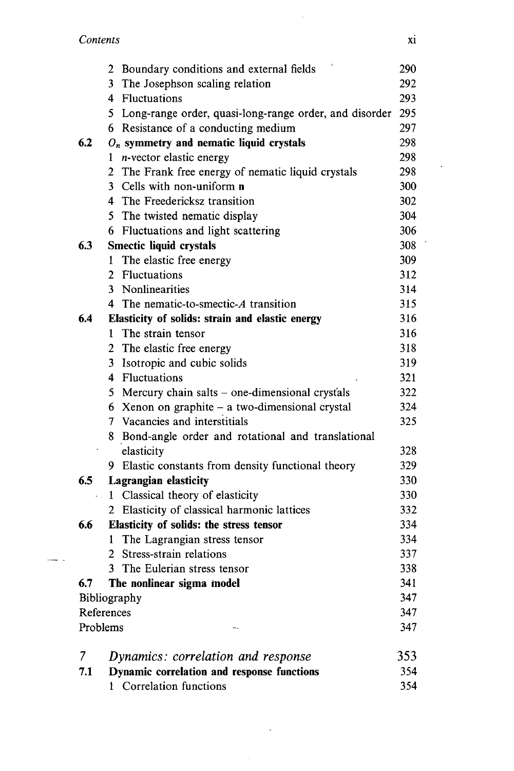$\overline{\phantom{a}}$ 

|          |                            | 2 Boundary conditions and external fields                | 290 |
|----------|----------------------------|----------------------------------------------------------|-----|
|          |                            | 3 The Josephson scaling relation                         | 292 |
|          |                            | 4 Fluctuations                                           | 293 |
|          |                            | 5 Long-range order, quasi-long-range order, and disorder | 295 |
|          |                            | 6 Resistance of a conducting medium                      | 297 |
| 6.2      |                            | $O_n$ symmetry and nematic liquid crystals               | 298 |
|          | ı                          | n-vector elastic energy                                  | 298 |
|          |                            | 2 The Frank free energy of nematic liquid crystals       | 298 |
|          |                            | 3 Cells with non-uniform n                               | 300 |
|          |                            | 4 The Freedericksz transition                            | 302 |
|          |                            | 5 The twisted nematic display                            | 304 |
|          |                            | 6 Fluctuations and light scattering                      | 306 |
| 6.3      |                            | Smectic liquid crystals                                  | 308 |
|          |                            | 1 The elastic free energy                                | 309 |
|          |                            | 2 Fluctuations                                           | 312 |
|          |                            | 3 Nonlinearities                                         | 314 |
|          |                            | 4 The nematic-to-smectic-A transition                    | 315 |
| 6.4      |                            | Elasticity of solids: strain and elastic energy          | 316 |
|          | 1                          | The strain tensor                                        | 316 |
|          |                            | 2 The elastic free energy                                | 318 |
|          |                            | 3 Isotropic and cubic solids                             | 319 |
|          |                            | 4 Fluctuations                                           | 321 |
|          |                            | 5 Mercury chain salts – one-dimensional crystals         | 322 |
|          |                            | 6 Xenon on graphite $-$ a two-dimensional crystal        | 324 |
|          |                            | 7 Vacancies and interstitials                            | 325 |
|          |                            | 8 Bond-angle order and rotational and translational      |     |
|          |                            | elasticity                                               | 328 |
|          |                            | 9 Elastic constants from density functional theory       | 329 |
| 6.5      |                            | <b>Lagrangian elasticity</b>                             | 330 |
| k.       |                            | 1 Classical theory of elasticity                         | 330 |
|          |                            | 2 Elasticity of classical harmonic lattices              | 332 |
| 6.6      |                            | Elasticity of solids: the stress tensor                  | 334 |
|          |                            | 1 The Lagrangian stress tensor                           | 334 |
|          |                            | 2 Stress-strain relations                                | 337 |
|          |                            | 3 The Eulerian stress tensor                             | 338 |
| 6.7      |                            | The nonlinear sigma model                                | 341 |
|          |                            |                                                          | 347 |
|          | Bibliography<br>References |                                                          | 347 |
| Problems |                            |                                                          | 347 |
| 7        |                            | Dynamics: correlation and response                       | 353 |
| 7.1      |                            | Dynamic correlation and response functions               | 354 |
|          |                            | 1 Correlation functions                                  | 354 |

 $\mathcal{A}^{\mathcal{A}}$ 

 $\sim$ 

 $\mathcal{L}$ 

 $\sim 10^7$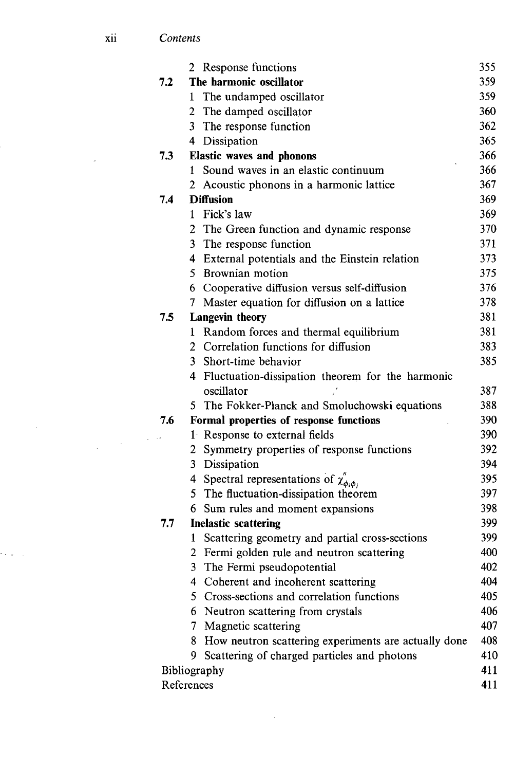|            | 2 Response functions                                                               | 355        |
|------------|------------------------------------------------------------------------------------|------------|
| 7.2        | The harmonic oscillator                                                            | 359        |
|            | The undamped oscillator<br>1                                                       | 359        |
|            | 2 The damped oscillator                                                            | 360        |
|            | 3 The response function                                                            | 362        |
|            | 4 Dissipation                                                                      | 365        |
| 7.3        | <b>Elastic waves and phonons</b>                                                   | 366        |
|            | Sound waves in an elastic continuum<br>1                                           | 366        |
|            | Acoustic phonons in a harmonic lattice<br>2                                        | 367        |
| 7.4        | <b>Diffusion</b>                                                                   | 369        |
|            | Fick's law<br>1                                                                    | 369        |
|            | 2 The Green function and dynamic response                                          | 370        |
|            | 3 The response function                                                            | 371        |
|            | 4 External potentials and the Einstein relation                                    | 373        |
|            | 5 Brownian motion                                                                  | 375        |
|            | 6 Cooperative diffusion versus self-diffusion                                      | 376        |
|            | 7 Master equation for diffusion on a lattice                                       | 378        |
| 7.5        | <b>Langevin theory</b>                                                             | 381        |
|            | 1 Random forces and thermal equilibrium                                            | 381        |
|            | 2 Correlation functions for diffusion                                              | 383        |
|            | 3 Short-time behavior                                                              | 385        |
|            | 4 Fluctuation-dissipation theorem for the harmonic                                 |            |
|            | oscillator                                                                         | 387        |
|            | 5 The Fokker-Planck and Smoluchowski equations                                     | 388        |
| 7.6        | Formal properties of response functions                                            | 390        |
|            | 1 Response to external fields                                                      | 390        |
|            | 2 Symmetry properties of response functions                                        | 392        |
|            | 3 Dissipation                                                                      | 394        |
|            | 4 Spectral representations of $\chi_{\phi_i\phi_i}^{\prime\prime}$                 | 395        |
|            | 5 The fluctuation-dissipation theorem                                              | 397        |
|            | 6 Sum rules and moment expansions                                                  | 398        |
| 7.7        | <b>Inelastic scattering</b>                                                        | 399        |
|            | Scattering geometry and partial cross-sections<br>1                                | 399<br>400 |
|            | Fermi golden rule and neutron scattering<br>3.                                     | 402        |
|            | The Fermi pseudopotential                                                          | 404        |
|            | 4 Coherent and incoherent scattering<br>5 Cross-sections and correlation functions | 405        |
|            | 6 Neutron scattering from crystals                                                 | 406        |
|            | 7 Magnetic scattering                                                              | 407        |
|            |                                                                                    | 408        |
|            | 8 How neutron scattering experiments are actually done<br>9                        | 410        |
|            | Scattering of charged particles and photons                                        | 411        |
| References | Bibliography                                                                       | 411        |
|            |                                                                                    |            |

 $\mathcal{L}^{\text{max}}_{\text{max}}$ 

 $\mathcal{A}^{\text{max}}_{\text{max}}$ 

alian.<br>Manazarta

 $\bar{\mathcal{A}}$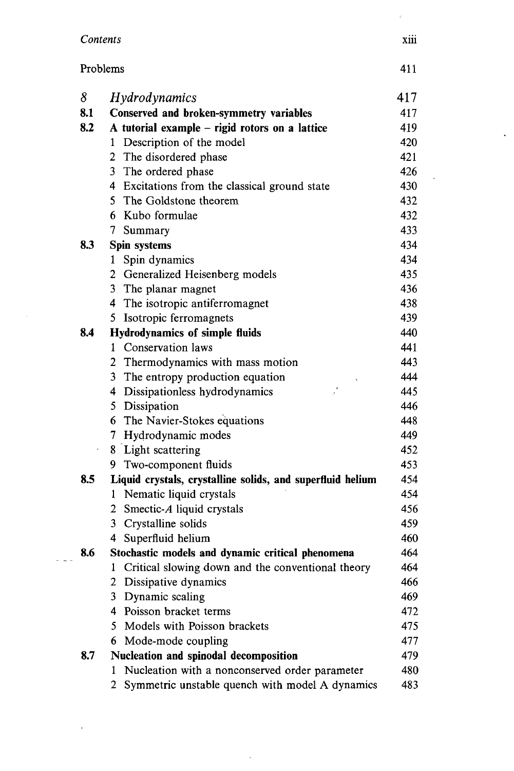| Contents |                                                            | xiii |
|----------|------------------------------------------------------------|------|
| Problems |                                                            | 411  |
| 8        | <i>Hydrodynamics</i>                                       | 417  |
| 8.1      | Conserved and broken-symmetry variables                    | 417  |
| 8.2      | A tutorial example - rigid rotors on a lattice             | 419  |
|          | Description of the model<br>1                              | 420  |
|          | 2 The disordered phase                                     | 421  |
|          | 3 The ordered phase                                        | 426  |
|          | 4 Excitations from the classical ground state              | 430  |
|          | 5 The Goldstone theorem                                    | 432  |
|          | 6 Kubo formulae                                            | 432  |
|          | 7<br>Summary                                               | 433  |
| 8.3      | Spin systems                                               | 434  |
|          | Spin dynamics<br>1                                         | 434  |
|          | 2 Generalized Heisenberg models                            | 435  |
|          | 3 The planar magnet                                        | 436  |
|          | 4 The isotropic antiferromagnet                            | 438  |
|          | 5 Isotropic ferromagnets                                   | 439  |
| 8.4      | <b>Hydrodynamics of simple fluids</b>                      | 440  |
|          | 1 Conservation laws                                        | 441  |
|          | 2 Thermodynamics with mass motion                          | 443  |
|          | 3 The entropy production equation                          | 444  |
|          | 4 Dissipationless hydrodynamics                            | 445  |
|          | 5 Dissipation                                              | 446  |
|          | 6 The Navier-Stokes equations                              | 448  |
|          | 7 Hydrodynamic modes                                       | 449  |
| ¥        | 8 Light scattering                                         | 452  |
|          | 9 Two-component fluids                                     | 453  |
| 8.5      | Liquid crystals, crystalline solids, and superfluid helium | 454  |
|          | Nematic liquid crystals<br>1.                              | 454  |
|          | Smectic-A liquid crystals<br>2                             | 456  |
|          | 3 Crystalline solids                                       | 459  |
|          | Superfluid helium<br>4                                     | 460  |
| 8.6      | Stochastic models and dynamic critical phenomena           | 464  |
|          | Critical slowing down and the conventional theory<br>1     | 464  |
|          | Dissipative dynamics<br>2                                  | 466  |
|          | Dynamic scaling<br>3                                       | 469  |
|          | 4 Poisson bracket terms                                    | 472  |
|          | 5 Models with Poisson brackets                             | 475  |
|          | 6 Mode-mode coupling                                       | 477  |
| 8.7      | Nucleation and spinodal decomposition                      | 479  |
|          | Nucleation with a nonconserved order parameter<br>1        | 480  |
|          | Symmetric unstable quench with model A dynamics<br>2       | 483  |

 $\mathcal{A}^{(1)}$  .

 $\alpha$  .

 $\sim 20$  ).

 $\mathcal{A}^{\pm}$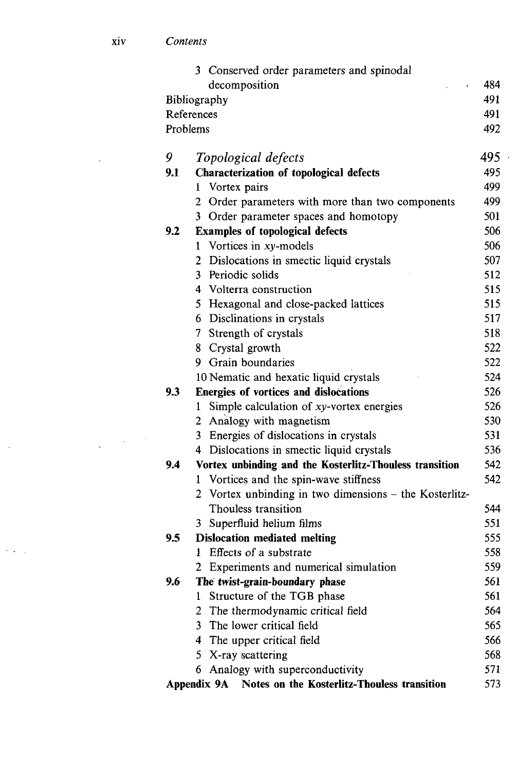$\sim 10$ 

 $\frac{1}{2} \left( \frac{1}{2} \right)^{2} \frac{1}{2} \left( \frac{1}{2} \right)^{2}$ 

 $\hat{\mathcal{A}}$ 

 $\sim 10^{-1}$ 

|                     | Conserved order parameters and spinodal<br>3               |     |  |
|---------------------|------------------------------------------------------------|-----|--|
|                     | decomposition                                              | 484 |  |
| 491<br>Bibliography |                                                            |     |  |
|                     | References                                                 | 491 |  |
|                     | Problems                                                   | 492 |  |
|                     |                                                            |     |  |
| 9                   | Topological defects                                        | 495 |  |
| 9.1                 | Characterization of topological defects                    | 495 |  |
|                     | 1 Vortex pairs                                             | 499 |  |
|                     | Order parameters with more than two components<br>2        | 499 |  |
|                     | Order parameter spaces and homotopy<br>3                   | 501 |  |
| 9.2                 | <b>Examples of topological defects</b>                     | 506 |  |
|                     | Vortices in xy-models<br>1                                 | 506 |  |
|                     | 2 Dislocations in smectic liquid crystals                  | 507 |  |
|                     | 3 Periodic solids                                          | 512 |  |
|                     | 4 Volterra construction                                    | 515 |  |
|                     | 5 Hexagonal and close-packed lattices                      | 515 |  |
|                     | 6 Disclinations in crystals                                | 517 |  |
|                     | 7 Strength of crystals                                     | 518 |  |
|                     | 8 Crystal growth                                           | 522 |  |
|                     | 9 Grain boundaries                                         | 522 |  |
|                     | 10 Nematic and hexatic liquid crystals                     | 524 |  |
| 9.3                 | Energies of vortices and dislocations                      | 526 |  |
|                     | Simple calculation of xy-vortex energies<br>1              | 526 |  |
|                     | 2 Analogy with magnetism                                   | 530 |  |
|                     | 3 Energies of dislocations in crystals                     | 531 |  |
|                     | 4 Dislocations in smectic liquid crystals                  | 536 |  |
| 9.4                 | Vortex unbinding and the Kosterlitz-Thouless transition    | 542 |  |
|                     | 1 Vortices and the spin-wave stiffness                     | 542 |  |
|                     | 2 Vortex unbinding in two dimensions - the Kosterlitz-     |     |  |
|                     | Thouless transition                                        | 544 |  |
|                     | 3 Superfluid helium films                                  | 551 |  |
| 9.5                 | <b>Dislocation mediated melting</b>                        | 555 |  |
|                     | Effects of a substrate<br>1                                | 558 |  |
|                     | Experiments and numerical simulation                       | 559 |  |
| 9.6                 | The twist-grain-boundary phase                             | 561 |  |
|                     | Structure of the TGB phase<br>1                            | 561 |  |
|                     | The thermodynamic critical field<br>2                      | 564 |  |
|                     | The lower critical field<br>3.                             | 565 |  |
|                     | 4 The upper critical field                                 | 566 |  |
|                     | 5 X-ray scattering                                         | 568 |  |
|                     | Analogy with superconductivity<br>6                        | 571 |  |
|                     | Appendix 9A<br>Notes on the Kosterlitz-Thouless transition | 573 |  |

 $\bar{\star}$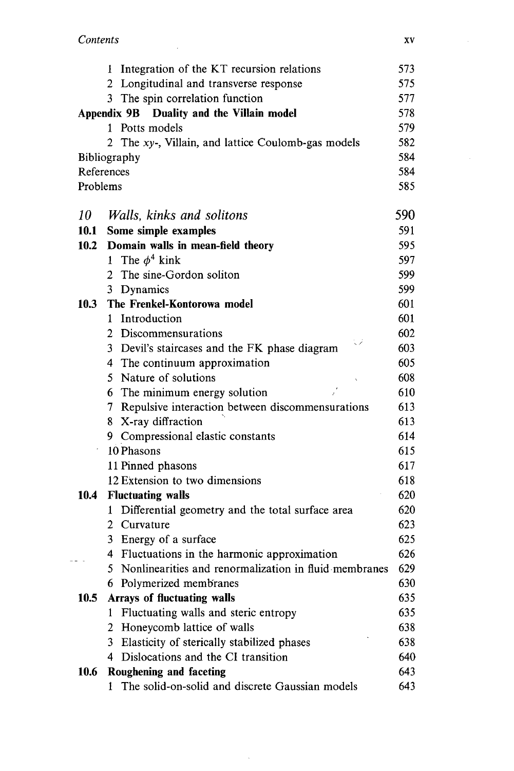$\overline{\phantom{a}}$ 

|             | 1 Integration of the KT recursion relations                                | 573        |
|-------------|----------------------------------------------------------------------------|------------|
|             | 2 Longitudinal and transverse response                                     | 575        |
|             | 3 The spin correlation function                                            | 577        |
|             | Appendix 9B Duality and the Villain model                                  | 578        |
|             | 1 Potts models                                                             | 579        |
|             | 2 The xy-, Villain, and lattice Coulomb-gas models                         | 582        |
|             | Bibliography                                                               | 584        |
|             | References                                                                 | 584        |
| Problems    |                                                                            | 585        |
| 10          | Walls, kinks and solitons                                                  | 590        |
| 10.1        | Some simple examples                                                       | 591        |
| 10.2        | Domain walls in mean-field theory                                          | 595        |
|             | 1 The $\phi^4$ kink                                                        | 597        |
|             | 2 The sine-Gordon soliton                                                  | 599        |
|             | 3 Dynamics                                                                 | 599        |
| <b>10.3</b> | The Frenkel-Kontorowa model                                                | 601        |
|             | Introduction<br>1                                                          | 601        |
|             | 2 Discommensurations<br>نر با                                              | 602        |
|             | 3 Devil's staircases and the FK phase diagram                              | 603        |
|             | 4 The continuum approximation                                              | 605        |
|             | 5 Nature of solutions                                                      | 608        |
|             | 6 The minimum energy solution                                              | 610        |
|             | 7 Repulsive interaction between discommensurations                         | 613        |
|             | 8 X-ray diffraction                                                        | 613        |
|             | 9 Compressional elastic constants                                          | 614        |
|             | 10 Phasons                                                                 | 615        |
|             | 11 Pinned phasons                                                          | 617        |
|             | 12 Extension to two dimensions                                             | 618        |
| 10.4        | <b>Fluctuating walls</b>                                                   | 620        |
|             | 1 Differential geometry and the total surface area                         | 620        |
|             | 2 Curvature                                                                | 623        |
|             | 3 Energy of a surface                                                      | 625        |
|             | 4 Fluctuations in the harmonic approximation                               | 626        |
|             | 5 Nonlinearities and renormalization in fluid membranes                    | 629        |
|             | 6 Polymerized membranes                                                    | 630        |
| 10.5        | <b>Arrays of fluctuating walls</b>                                         | 635        |
|             | Fluctuating walls and steric entropy<br>$\mathbf{1}$                       | 635        |
|             | 2 Honeycomb lattice of walls                                               | 638        |
|             | 3 Elasticity of sterically stabilized phases                               | 638        |
|             | Dislocations and the CI transition<br>4                                    | 640        |
| 10.6        | Roughening and faceting<br>The solid-on-solid and discrete Gaussian models | 643<br>643 |
|             | 1                                                                          |            |

 $\bar{\beta}$